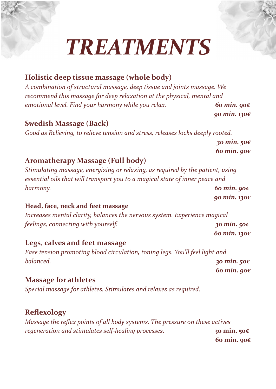# *TREATMENTS*

# **Holistic deep tissue massage (whole body)**

*A combination of structural massage, deep tissue and joints massage. We recommend this massage for deep relaxation at the physical, mental and emotional level. Find your harmony while you relax. 60 min. 90€*

### **Swedish Massage (Back)**

*Good as Relieving, to relieve tension and stress, releases locks deeply rooted.*

*30 min. 50€ 60 min. 90€*

*90 min. 130€*

### **Aromatherapy Massage (Full body)**

*Stimulating massage, energizing or relaxing, as required by the patient, using essential oils that will transport you to a magical state of inner peace and harmony. 60 min. 90€*

*90 min. 130€*

#### **Head, face, neck and feet massage**

*Increases mental clarity, balances the nervous system. Experience magical feelings, connecting with yourself. 30 min. 50€ 60 min. 130€*

### **Legs, calves and feet massage**

*Ease tension promoting blood circulation, toning legs. You'll feel light and balanced. 30 min. 50€*

*60 min. 90€*

### **Massage for athletes**

*Special massage for athletes. Stimulates and relaxes as required*.

# **Reflexology**

*Massage the reflex points of all body systems. The pressure on these actives regeneration and stimulates self-healing processes*. **30 min. 50€**

**60 min. 90€**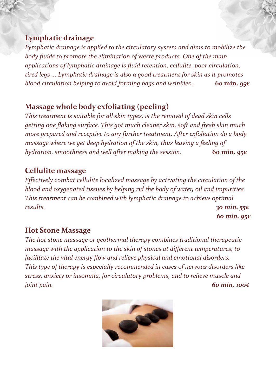### **Lymphatic drainage**

*Lymphatic drainage is applied to the circulatory system and aims to mobilize the body fluids to promote the elimination of waste products. One of the main applications of lymphatic drainage is fluid retention, cellulite, poor circulation, tired legs ... Lymphatic drainage is also a good treatment for skin as it promotes blood circulation helping to avoid forming bags and wrinkles* . **60 min. 95€**

# **Massage whole body exfoliating (peeling)**

*This treatment is suitable for all skin types, is the removal of dead skin cells getting one flaking surface. This got much cleaner skin, soft and fresh skin much more prepared and receptive to any further treatment. After exfoliation do a body massage where we get deep hydration of the skin, thus leaving a feeling of hydration, smoothness and well after making the session*. **60 min. 95€**

# **Cellulite massage**

*Effectively combat cellulite localized massage by activating the circulation of the blood and oxygenated tissues by helping rid the body of water, oil and impurities. This treatment can be combined with lymphatic drainage to achieve optimal results. 30 min. 55€*

*60 min. 95€*

# **Hot Stone Massage**

*The hot stone massage or geothermal therapy combines traditional therapeutic massage with the application to the skin of stones at different temperatures, to facilitate the vital energy flow and relieve physical and emotional disorders. This type of therapy is especially recommended in cases of nervous disorders like stress, anxiety or insomnia, for circulatory problems, and to relieve muscle and joint pain. 60 min. 100€*

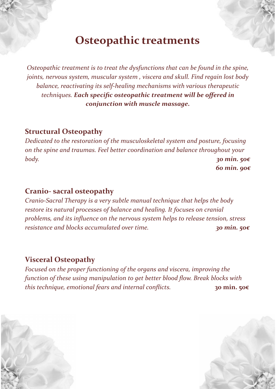# **Osteopathic treatments**

*Osteopathic treatment is to treat the dysfunctions that can be found in the spine, joints, nervous system, muscular system , viscera and skull. Find regain lost body balance, reactivating its self-healing mechanisms with various therapeutic techniques. Each specific osteopathic treatment will be offered in conjunction with muscle massage.*

### **Structural Osteopathy**

*Dedicated to the restoration of the musculoskeletal system and posture, focusing on the spine and traumas. Feel better coordination and balance throughout your body. 30 min. 50€ 60 min. 90€*

### **Cranio- sacral osteopathy**

*Cranio-Sacral Therapy is a very subtle manual technique that helps the body restore its natural processes of balance and healing. It focuses on cranial problems, and its influence on the nervous system helps to release tension, stress resistance and blocks accumulated over time. 30 min. 50€*

### **Visceral Osteopathy**

*Focused on the proper functioning of the organs and viscera, improving the function of these using manipulation to get better blood flow. Break blocks with this technique, emotional fears and internal conflicts.* **30 min. 50€**

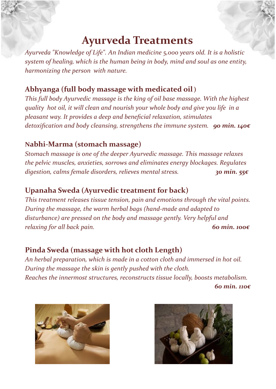# **Ayurveda Treatments**

*Ayurveda "Knowledge of Life". An Indian medicine 5,000 years old. It is a holistic system of healing, which is the human being in body, mind and soul as one entity, harmonizing the person with nature.*

# **Abhyanga (full body massage with medicated oil)**

*This full body Ayurvedic massage is the king of oil base massage. With the highest quality hot oil, it will clean and nourish your whole body and give you life in a pleasant way. It provides a deep and beneficial relaxation, stimulates detoxification and body cleansing, strengthens the immune system. 90 min. 140€*

# **Nabhi-Marma (stomach massage)**

*Stomach massage is one of the deeper Ayurvedic massage. This massage relaxes the pelvic muscles, anxieties, sorrows and eliminates energy blockages. Regulates digestion, calms female disorders, relieves mental stress. 30 min. 55€*

# **Upanaha Sweda (Ayurvedic treatment for back)**

*This treatment releases tissue tension, pain and emotions through the vital points. During the massage, the warm herbal bags (hand-made and adapted to disturbance) are pressed on the body and massage gently. Very helpful and relaxing for all back pain. 60 min. 100€*

# **Pinda Sweda (massage with hot cloth Length)**

*An herbal preparation, which is made in a cotton cloth and immersed in hot oil. During the massage the skin is gently pushed with the cloth. Reaches the innermost structures, reconstructs tissue locally, boosts metabolism. 60 min. 110€*